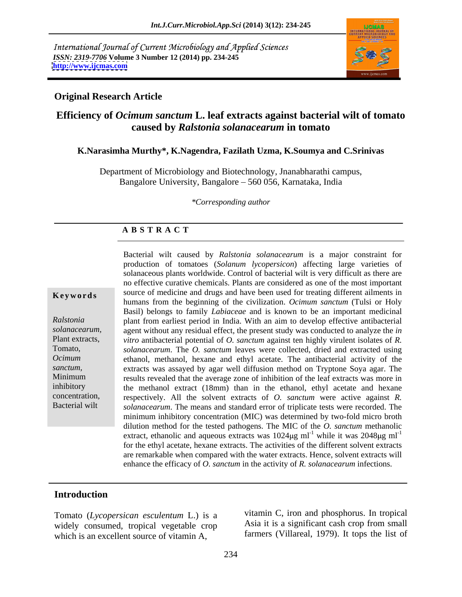International Journal of Current Microbiology and Applied Sciences *ISSN: 2319-7706* **Volume 3 Number 12 (2014) pp. 234-245 <http://www.ijcmas.com>**



### **Original Research Article**

# **Efficiency of** *Ocimum sanctum* **L. leaf extracts against bacterial wilt of tomato caused by** *Ralstonia solanacearum* **in tomato**

### **K.Narasimha Murthy\*, K.Nagendra, Fazilath Uzma, K.Soumya and C.Srinivas**

Department of Microbiology and Biotechnology, Jnanabharathi campus, Bangalore University, Bangalore – 560 056, Karnataka, India

*\*Corresponding author* 

### **A B S T R A C T**

**Keywords** source of medicine and drugs and have been used for treating different ailments in Ralstonia **Property** plant from earliest period in India. With an aim to develop effective antibacterial *solanacearum,*  agent without any residual effect, the present study was conducted to analyze the *in*  Plant extracts, *vitro* antibacterial potential of *O. sanctum* against ten highly virulent isolates of *R.*  Tomato, *solanacearum*. The *O. sanctum* leaves were collected, dried and extracted using *Ocimum* ethanol, methanol, hexane and ethyl acetate. The antibacterial activity of the *sanctum,*  extracts was assayed by agar well diffusion method on Tryptone Soya agar. The Minimum results revealed that the average zone of inhibition of the leaf extracts was more in inhibitory the methanol extract (18mm) than in the ethanol, ethyl acetate and hexane concentration, respectively. All the solvent extracts of *O. sanctum* were active against *R.*  Bacterial wilt *solanacearum*. The means and standard error of triplicate tests were recorded. The Bacterial wilt caused by *Ralstonia solanacearum* is a major constraint for production of tomatoes (*Solanum lycopersicon*) affecting large varieties of solanaceous plants worldwide. Control of bacterial wilt is very difficult as there are no effective curative chemicals. Plants are considered as one of the most important humans from the beginning of the civilization. *Ocimum sanctum* (Tulsi or Holy Basil) belongs to family *Labiaceae* and is known to be an important medicinal minimum inhibitory concentration (MIC) was determined by two-fold micro broth dilution method for the tested pathogens. The MIC of the *O. sanctum* methanolic extract, ethanolic and aqueous extracts was  $1024\mu g$  ml<sup>-1</sup> while it was  $2048\mu g$  ml<sup>-1</sup> while it was  $2048 \mu g$  ml<sup>-1</sup> for the ethyl acetate, hexane extracts. The activities of the different solvent extracts are remarkable when compared with the water extracts. Hence, solvent extracts will enhance the efficacy of *O. sanctum* in the activity of *R. solanacearum* infections.

# **Introduction**

Tomato (*Lycopersican esculentum* L.) is a widely consumed, tropical vegetable crop which is an excellent source of vitamin A.

vitamin C, iron and phosphorus. In tropical Asia it is a significant cash crop from small farmers (Villareal, 1979). It tops the list of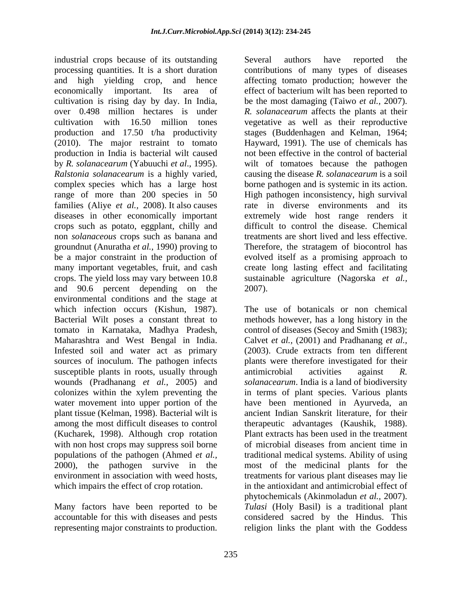industrial crops because of its outstanding Several authors have reported the processing quantities. It is a short duration contributions of many types of diseases and high yielding crop, and hence affecting tomato production; however the economically important. Its area of effect of bacterium wilt has been reported to cultivation is rising day by day. In India, be the most damaging (Taiwo *et al.,* 2007). over 0.498 million hectares is under *R. solanacearum* affects the plants at their cultivation with 16.50 million tones vegetative as well as their reproductive production and 17.50 t/ha productivity stages (Buddenhagen and Kelman, 1964; (2010). The major restraint to tomato Hayward, 1991). The use of chemicals has production in India is bacterial wilt caused by *R. solanacearum* (Yabuuchi *et al*., 1995). wilt of tomatoes because the pathogen *Ralstonia solanacearum* is a highly varied, causing the disease *R. solanacearum* is a soil complex species which has a large host borne pathogen and is systemic in its action.<br>
range of more than 200 species in 50 High pathogen inconsistency, high survival families (Aliye *et al.,* 2008). It also causes diseases in other economically important extremely wide host range renders it crops such as potato, eggplant, chilly and difficult to control the disease. Chemical non *solanaceous* crops such as banana and groundnut (Anuratha *et al.,* 1990) proving to be a major constraint in the production of evolved itself as a promising approach to many important vegetables, fruit, and cash create long lasting effect and facilitating crops. The yield loss may vary between 10.8 sustainable agriculture (Nagorska *et al.,* and 90.6 percent depending on the 2007). environmental conditions and the stage at which infection occurs (Kishun, 1987). tomato in Karnataka, Madhya Pradesh, Infested soil and water act as primary susceptible plants in roots, usually through antimicrobial activities against R.<br>wounds (Pradhanang et al., 2005) and *solanacearum*. India is a land of biodiversity water movement into upper portion of the plant tissue (Kelman, 1998). Bacterial wilt is (Kucharek, 1998). Although crop rotation with non host crops may suppress soil borne of microbial diseases from ancient time in

Several authors have reported the not been effective in the control of bacterial borne pathogen and is systemic in its action. High pathogen inconsistency, high survival rate in diverse environments and its treatments are short lived and less effective. Therefore, the stratagem of biocontrol has 2007).

Bacterial Wilt poses a constant threat to methods however, has a long history in the Maharashtra and West Bengal in India. Calvet *et al.,* (2001) and Pradhanang *et al.,* sources of inoculum. The pathogen infects plants were therefore investigated for their wounds (Pradhanang *et al.*, 2005) and *solanacearum*. India is a land of biodiversity colonizes within the xylem preventing the in terms of plant species. Various plants among the most difficult diseases to control therapeutic advantages (Kaushik, 1988). populations of the pathogen (Ahmed *et al.,* traditional medical systems. Ability of using 2000), the pathogen survive in the most of the medicinal plants for the environment in association with weed hosts, treatments for various plant diseases may lie which impairs the effect of crop rotation. in the antioxidant and antimicrobial effect of Many factors have been reported to be *Tulasi* (Holy Basil) is a traditional plant accountable for this with diseases and pests considered sacred by the Hindus. This representing major constraints to production. The religion links the plant with the Goddess The use of botanicals or non chemical control of diseases (Secoy and Smith (1983); (2003). Crude extracts from ten different antimicrobial activities against *R.*  have been mentioned in Ayurveda, an ancient Indian Sanskrit literature, for their Plant extracts has been used in the treatment of microbial diseases from ancient time in phytochemicals (Akinmoladun *et al.,* 2007).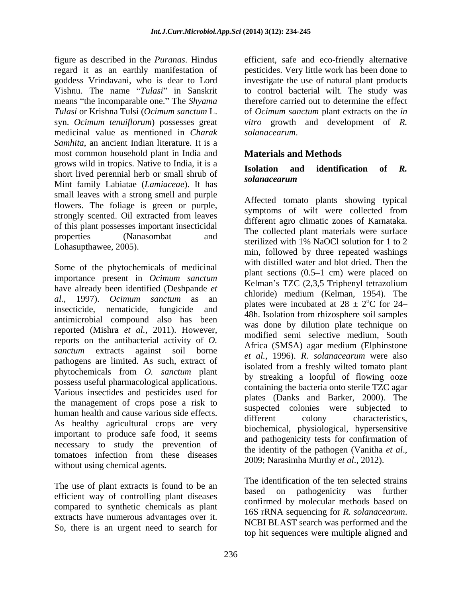figure as described in the *Puranas*. Hindus efficient, safe and eco-friendly alternative regard it as an earthly manifestation of pesticides. Very little work has been done to goddess Vrindavani, who is dear to Lord investigate the use of natural plant products Vishnu. The name "Tulasi" in Sanskrit means "the incomparable one." The *Shyama Tulasi* or Krishna Tulsi (*Ocimum sanctum* L. of *Ocimum sanctum* plant extracts on the *in*  syn. *Ocimum tenuiflorum*) possesses great *vitro* growth and development of *R.*  medicinal value as mentioned in *Charak Samhita*, an ancient Indian literature. It is a most common household plant in India and grows wild in tropics. Native to India, it is a<br> **Isolation** and identification of R. short lived perennial herb or small shrub of **solandcearum** Mint family Labiatae (*Lamiaceae*). It has small leaves with a strong smell and purple flowers. The foliage is green or purple, strongly scented. Oil extracted from leaves of this plant possesses important insecticidal

Some of the phytochemicals of medicinal importance present in *Ocimum sanctum* have already been identified (Deshpande *et al.,* 1997). *Ocimum sanctum* as an insecticide, nematicide, fungicide and antimicrobial compound also has been reported (Mishra *et al.,* 2011). However, reports on the antibacterial activity of *O.*  pathogens are limited. As such, extract of phytochemicals from *O. sanctum* plant possess useful pharmacological applications. Various insectides and pesticides used for the management of crops pose a risk to human health and cause various side effects.<br>different colony characteristics, As healthy agricultural crops are very important to produce safe food, it seems necessary to study the prevention of the identity of the pathogen (Vanitha *et al.*, tomatoes infection from these diseases  $2009$ ; Narasimha Murthy *et al.*, 2012). without using chemical agents.

The use of plant extracts is found to be an efficient way of controlling plant diseases compared to synthetic chemicals as plant<br>16S rRNA sequencing for R. solanacearum. extracts have numerous advantages over it.<br>
NCBI BLAST search was performed and the So, there is an urgent need to search for

to control bacterial wilt. The study was therefore carried out to determine the effect *solanacearum*.

# **Materials and Methods**

# **Isolation and identification of** *R. solanacearum*

properties (Nanasombat and the concerce plant materials were surface Lohasupthawee, 2005).<br>
min, followed by three repeated washings *sanctum* extracts against soil borne *et al.*, 1996). *R. solanacearum* were also Affected tomato plants showing typical symptoms of wilt were collected from different agro climatic zones of Karnataka. The collected plant materials were surface sterilized with 1% NaOCl solution for 1 to 2 with distilled water and blot dried. Then the plant sections  $(0.5-1$  cm) were placed on Kelman's TZC (2,3,5 Triphenyl tetrazolium chloride) medium (Kelman, 1954). The plates were incubated at  $28 \pm 2^{\circ}\text{C}$  for 24- $^{\circ}$ C for 24-48h. Isolation from rhizosphere soil samples was done by dilution plate technique on modified semi selective medium, South Africa (SMSA) agar medium (Elphinstone isolated from a freshly wilted tomato plant by streaking a loopful of flowing ooze containing the bacteria onto sterile TZC agar plates (Danks and Barker, 2000). The suspected colonies were subjected to different colony characteristics, biochemical, physiological, hypersensitive and pathogenicity tests for confirmation of the identity of the pathogen (Vanitha *et al*., 2009; Narasimha Murthy *et al*., 2012).

> The identification of the ten selected strains based on pathogenicity was further confirmed by molecular methods based on 16S rRNA sequencing for *R. solanacearum*. NCBI BLAST search was performed and the top hit sequences were multiple aligned and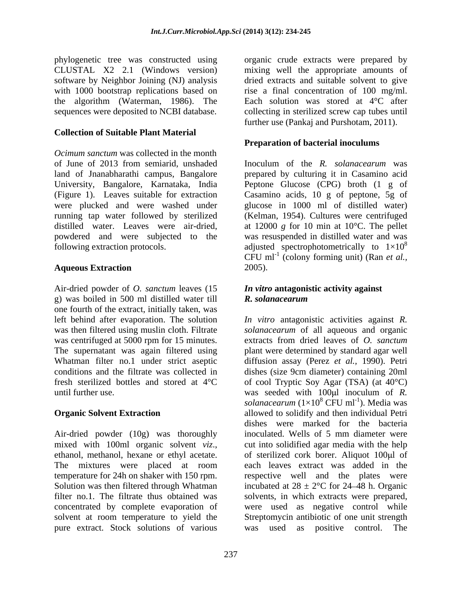phylogenetic tree was constructed using software by Neighbor Joining (NJ) analysis the algorithm (Waterman, 1986). The

# **Collection of Suitable Plant Material**

*Ocimum sanctum* was collected in the month of June of 2013 from semiarid, unshaded Inoculum of the *R. solanacearum* was land of Jnanabharathi campus, Bangalore University, Bangalore, Karnataka, India Peptone Glucose (CPG) broth (1 g of (Figure 1). Leaves suitable for extraction Casamino acids, 10 g of peptone, 5g of were plucked and were washed under running tap water followed by sterilized (Kelman, 1954). Cultures were centrifuged distilled water. Leaves were air-dried, at 12000 *g* for 10 min at 10°C. The pellet powdered and were subjected to the following extraction protocols.  $\alpha$  adjusted spectrophotometrically to  $1\times10^8$ 

Air-dried powder of *O. sanctum* leaves (15 g) was boiled in 500 ml distilled water till  $\mathbf{R}$ . solanacearum one fourth of the extract, initially taken, was

Air-dried powder (10g) was thoroughly inoculated. Wells of 5 mm diameter were temperature for 24h on shaker with 150 rpm. pure extract. Stock solutions of various was used as positive control. The

CLUSTAL X2 2.1 (Windows version) mixing well the appropriate amounts of with 1000 bootstrap replications based on ise a final concentration of 100 mg/ml. sequences were deposited to NCBI database. collecting in sterilized screw cap tubes until organic crude extracts were prepared by dried extracts and suitable solvent to give Each solution was stored at 4°C after further use (Pankaj and Purshotam, 2011).

# **Preparation of bacterial inoculums**

**Aqueous Extraction** prepared by culturing it in Casamino acid glucose in 1000 ml of distilled water) was resuspended in distilled water and was 8 CFU ml-1 (colony forming unit) (Ran *et al.,* 2005).

# *In vitro* **antagonistic activity against**  *R. solanacearum*

left behind after evaporation. The solution *In vitro* antagonistic activities against *R.*  was then filtered using muslin cloth. Filtrate *solanacearum* of all aqueous and organic was centrifuged at 5000 rpm for 15 minutes. extracts from dried leaves of*O. sanctum* The supernatant was again filtered using plant were determined by standard agar well Whatman filter no.1 under strict aseptic diffusion assay (Perez *et al.,* 1990). Petri conditions and the filtrate was collected in dishes (size 9cm diameter) containing 20ml fresh sterilized bottles and stored at 4°C of cool Tryptic Soy Agar (TSA) (at 40°C) until further use. The seeded with 100<sup>p</sup> inoculum of *R*. **Organic Solvent Extraction** allowed to solidify and then individual Petri mixed with 100ml organic solvent *viz*., cut into solidified agar media with the help ethanol, methanol, hexane or ethyl acetate. of sterilized cork borer. Aliquot 100µl of The mixtures were placed at room each leaves extract was added in the Solution was then filtered through Whatman incubated at  $28 \pm 2^{\circ}$ C for 24–48 h. Organic filter no.1. The filtrate thus obtained was solvents, in which extracts were prepared, concentrated by complete evaporation of were used as negative control while solvent at room temperature to yield the Streptomycin antibiotic of one unit strength *solanacearum* (1×10<sup>8</sup> CFU ml<sup>-1</sup>). Media was ). Media was dishes were marked for the bacteria inoculated. Wells of 5 mm diameter were cut into solidified agar media with the help of sterilized cork borer. Aliquot 100ul of each leaves extract was added in the respective well and the plates were was used as positive control. The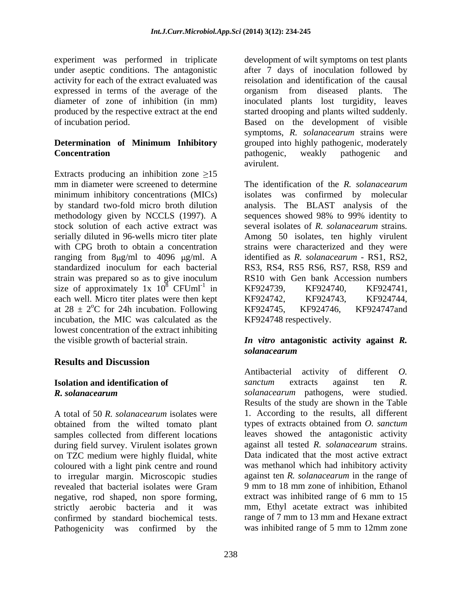experiment was performed in triplicate under aseptic conditions. The antagonistic after 7 days of inoculation followed by activity for each of the extract evaluated was expressed in terms of the average of the organism from diseased plants. The diameter of zone of inhibition (in mm) inoculated plants lost turgidity, leaves produced by the respective extract at the end started drooping and plants wilted suddenly. of incubation period. Based on the development of visible

Extracts producing an inhibition zone  $\geq 15$ mm in diameter were screened to determine The identification of the  $R$ . solanacearum minimum inhibitory concentrations (MICs) by standard two-fold micro broth dilution analysis. The BLAST analysis of the methodology given by NCCLS (1997). A sequences showed 98% to 99% identity to stock solution of each active extract was serially diluted in 96-wells micro titer plate Among 50 isolates, ten highly virulent with CPG broth to obtain a concentration strains were characterized and they were ranging from  $8\mu g/ml$  to 4096  $\mu g/ml$ . A standardized inoculum for each bacterial RS3, RS4,RS5 RS6, RS7, RS8, RS9 and strain was prepared so as to give inoculum RS10 with Gen bank Accession numbers size of approximately 1x  $10^8$  CFUml<sup>-1</sup> in KF924739, KF924740, KF924741, each well. Micro titer plates were then kept KF924742, KF924743, KF924744, at  $28 \pm 2$ °C for 24h incubation. Following KF924745, KF924746, KF924747and incubation, the MIC was calculated as the lowest concentration of the extract inhibiting the visible growth of bacterial strain. *In vitro* **antagonistic activity against** *R.* 

# **Results and Discussion**

A total of 50 *R. solanacearum* isolates were obtained from the wilted tomato plant samples collected from different locations during field survey. Virulent isolates grown on TZC medium were highly fluidal, white coloured with a light pink centre and round to irregular margin. Microscopic studies negative, rod shaped, non spore forming, strictly aerobic bacteria and it was confirmed by standard biochemical tests. The range of 7 mm to 13 mm and Hexane extract<br>Pathogenicity was confirmed by the was inhibited range of 5 mm to 12mm zone Pathogenicity was confirmed by the

**Determination of Minimum Inhibitory Concentration Concentration Concentration Concentration Concentration Concentration Concentration Concentration Concentration Concentration Concentration Concentration Concentration Concentration** development of wilt symptoms on test plants reisolation and identification of the causal organism from diseased plants. The symptoms, *R. solanacearum* strains were grouped into highly pathogenic, moderately pathogenic, weakly pathogenic and avirulent.

 $8$  CFUml<sup>-1</sup> in KF924739, KF924740, KF924741, in KF924739, KF924740, KF924741, <sup>o</sup>C for 24h incubation. Following KF924745, KF924746, KF924747and The identification of the *R. solanacearum* isolates was confirmed by molecular several isolates of *R. solanacearum* strains*.* identified as *R. solanacearum* - RS1, RS2, KF924739, KF924740, KF924741, KF924742, KF924743, KF924744, KF924745, KF924746, KF924747and KF924748 respectively.

# *solanacearum*

**Isolation and identification of** *sanctum* extracts against ten R. *R. solanacearum solanacearum* pathogens, were studied. revealed that bacterial isolates were Gram 9 mm to 18 mm zone of inhibition, Ethanol Antibacterial activity of different *O. sanctum* extracts against ten *R.*  Results of the study are shown in the Table 1. According to the results, all different types of extracts obtained from *O. sanctum* leaves showed the antagonistic activity against all tested *R. solanacearum* strains. Data indicated that the most active extract was methanol which had inhibitory activity against ten *R. solanacearum* in the range of 9 mm to 18 mm zone of inhibition, Ethanol extract was inhibited range of 6 mm to 15 mm, Ethyl acetate extract was inhibited range of 7 mm to 13 mm and Hexane extract was inhibited range of 5 mm to 12mm zone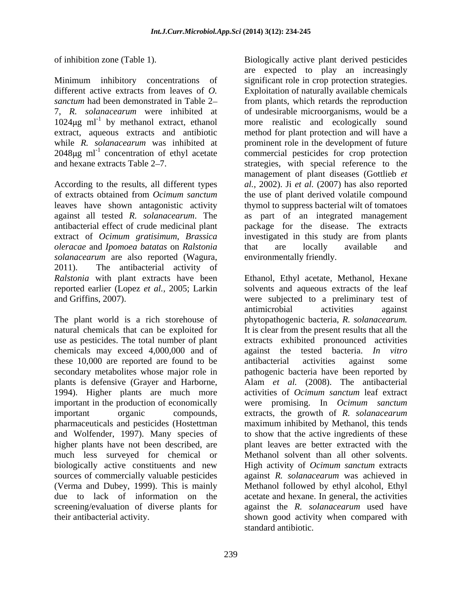7, *R. solanacearum* were inhibited at  $1024\mu\text{g}$  ml<sup>-1</sup> by methanol extract, ethanol

*oleracae* and *Ipomoea batatas* on *Ralstonia solanacearum* are also reported (Wagura, 2011). The antibacterial activity of

chemicals may exceed 4,000,000 and of these 10,000 are reported are found to be antibacterial activities against some plants is defensive (Grayer and Harborne, 1994). Higher plants are much more pharmaceuticals and pesticides (Hostettman and Wolfender, 1997). Many species of screening/evaluation of diverse plants for

of inhibition zone (Table 1). Biologically active plant derived pesticides Minimum inhibitory concentrations of significant role in crop protection strategies. different active extracts from leaves of *O.*  Exploitation of naturally available chemicals sanctum had been demonstrated in Table 2– from plants, which retards the reproduction by methanol extract, ethanol more realistic and ecologically sound extract, aqueous extracts and antibiotic method for plant protection and will have a while *R. solanacearum* was inhibited at prominent role in the development of future 2048µg ml<sup>-1</sup> concentration of ethyl acetate commercial pesticides for crop protection and hexane extracts Table 2–7. Strategies, with special reference to the According to the results, all different types *al.,* 2002). Ji *et al.* (2007) has also reported of extracts obtained from *Ocimum sanctum* the use of plant derived volatile compound leaves have shown antagonistic activity thymol to suppress bacterial wilt of tomatoes against all tested *R. solanacearum*. The as part of an integrated management antibacterial effect of crude medicinal plant package for the disease. The extracts extract of *Ocimum gratisimum*, *Brassica*  investigated in this study are from plants are expected to play an increasingly of undesirable microorganisms, would be a management of plant diseases (Gottlieb *et*  that are locally available and environmentally friendly.

*Ralstonia* with plant extracts have been Ethanol, Ethyl acetate, Methanol, Hexane reported earlier (Lopez *et al.,* 2005; Larkin solvents and aqueous extracts of the leaf and Griffins, 2007). were subjected to a preliminary test of The plant world is a rich storehouse of phytopathogenic bacteria, *R. solanacearum.* natural chemicals that can be exploited for It is clear from the present results that all the use as pesticides. The total number of plant extracts exhibited pronounced activities secondary metabolites whose major role in pathogenic bacteria have been reported by important in the production of economically were promising. In *Ocimum sanctum* important organic compounds, extracts, the growth of *R. solanacearum* higher plants have not been described, are plant leaves are better extracted with the much less surveyed for chemical or Methanol solvent than all other solvents. biologically active constituents and new High activity of *Ocimum sanctum* extracts sources of commercially valuable pesticides against *R. solanacearum* was achieved in (Verma and Dubey, 1999). This is mainly Methanol followed by ethyl alcohol, Ethyl due to lack of information on the acetate and hexane. In general, the activities their antibacterial activity. shown good activity when compared with antimicrobial activities against against the tested bacteria. *In vitro* antibacterial activities against some Alam *et al.* (2008). The antibacterial activities of *Ocimum sanctum* leaf extract maximum inhibited by Methanol, this tends to show that the active ingredients of these against the *R. solanacearum* used have standard antibiotic.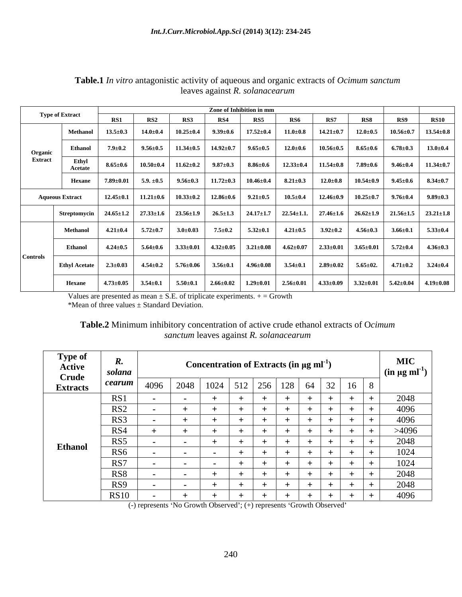|                 |                        | Zone of Inhibition in mm |                             |                                                |                                                |                                                                                                |                 |                 |                  |     |                                                                                                                              |  |
|-----------------|------------------------|--------------------------|-----------------------------|------------------------------------------------|------------------------------------------------|------------------------------------------------------------------------------------------------|-----------------|-----------------|------------------|-----|------------------------------------------------------------------------------------------------------------------------------|--|
|                 | <b>Type of Extract</b> | RS1                      | RS2                         | RS3                                            | RS4                                            | <b>RS5</b>                                                                                     | <b>RS6</b>      | RS7             | RS8              | RS9 | <b>RS10</b>                                                                                                                  |  |
|                 | <b>Methanol</b>        | $13.5 \pm 0.3$           | $14.0{\scriptstyle \pm0.4}$ |                                                | $10.25 \pm 0.4$ 9.39 $\pm 0.6$ 17.52 $\pm 0.4$ |                                                                                                | $11.0{\pm}0.8$  | $14.21 \pm 0.7$ |                  |     | $12.0\pm0.5$ $10.56\pm0.7$ $13.54\pm0.8$                                                                                     |  |
| Organic         | Ethanol                | $7.9 \pm 0.2$            | $9.56 \!\pm\! 0.5$          |                                                | $11.34 \pm 0.5$ 14.92 $\pm$ 0.7 9.65 $\pm$ 0.5 |                                                                                                | $12.0\pm0.6$    | $10.56 \pm 0.5$ |                  |     | $8.65\pm0.6$ $6.78\pm0.3$ $13.0\pm0.4$                                                                                       |  |
| <b>Extract</b>  | Ethyl<br>Acetate       | $8.65 \pm 0.6$           | $10.50 \pm 0.4$             | $11.62 \pm 0.2$                                |                                                | $9.87 \pm 0.3$ 8.86 $\pm$ 0.6                                                                  | $12.33 \pm 0.4$ | $11.54 \pm 0.8$ | $7.89 {\pm} 0.6$ |     | $9.46 \pm 0.4$   11.34 $\pm$ 0.7                                                                                             |  |
|                 | Hexane                 | $7.89 \pm 0.01$          | $5.9. \pm 0.5$              | $9.56 \pm 0.3$ 11.72 $\pm$ 0.3 10.46 $\pm$ 0.4 |                                                |                                                                                                | $8.21 \pm 0.3$  | $12.0{\pm}0.8$  |                  |     | $10.54 \pm 0.9$ $9.45 \pm 0.6$ $8.34 \pm 0.7$                                                                                |  |
|                 | <b>Aqueous Extract</b> | $12.45 \pm 0.1$          | $11.21 \pm 0.6$             | $10.33 \pm 0.2$ 12.86 $\pm 0.6$ 9.21 $\pm 0.5$ |                                                |                                                                                                | $10.5 \pm 0.4$  |                 |                  |     | $12.46\pm0.9$ $10.25\pm0.7$ $9.76\pm0.4$ $9.89\pm0.3$                                                                        |  |
|                 | Streptomycin           |                          |                             |                                                |                                                | $24.65\pm1.2$   $27.33\pm1.6$   $23.56\pm1.9$   $26.5\pm1.3$   $24.17\pm1.7$   $22.54\pm1.1$ . |                 |                 |                  |     | $27.46\pm1.6$ $26.62\pm1.9$ $21.56\pm1.5$ $23.21\pm1.8$                                                                      |  |
|                 | Methanol               | $4.21 \pm 0.4$           | $5.72 \pm 0.7$              | $3.0 \pm 0.03$                                 | $7.5 \pm 0.2$                                  | $5.32 \pm 0.1$ $4.21 \pm 0.5$                                                                  |                 | $3.92 \pm 0.2$  | $4.56 \pm 0.3$   |     | $3.66 \pm 0.1$ $5.33 \pm 0.4$                                                                                                |  |
|                 | <b>Ethanol</b>         | $4.24 \pm 0.5$           | $5.64 {\pm} 0.6$            | $3.33\pm0.01$ $4.32\pm0.05$ $3.21\pm0.08$      |                                                |                                                                                                | $4.62{\pm}0.07$ |                 |                  |     | $\begin{array}{ c c c c c c c c c } \hline 2.33 \pm 0.01 & 3.65 \pm 0.01 & 5.72 \pm 0.4 & 4.36 \pm 0.3 \ \hline \end{array}$ |  |
| <b>Controls</b> | <b>Ethyl Acetate</b>   | $2.3 \pm 0.03$           | $4.54 \pm 0.2$              | $5.76 \pm 0.06$ $3.56 \pm 0.1$ $4.96 \pm 0.08$ |                                                |                                                                                                | $3.54 \pm 0.1$  |                 |                  |     | $2.89 \pm 0.02$ 5.65 $\pm$ 02. 4.71 $\pm$ 0.2 3.24 $\pm$ 0.4                                                                 |  |
|                 | Hexane                 | $4.73 \pm 0.05$          | $3.54 \pm 0.1$              |                                                |                                                |                                                                                                |                 |                 |                  |     |                                                                                                                              |  |

**Table.1** *In vitro* antagonistic activity of aqueous and organic extracts of *Ocimum sanctum*  leaves against *R. solanacearum*

Values are presented as mean  $\pm$  S.E. of triplicate experiments.  $+$  = Growth

\*Mean of three values ± Standard Deviation.

| Table.2 Minimum inhibitory concentration of active crude ethanol extracts of Ocimum |  |  |
|-------------------------------------------------------------------------------------|--|--|
| painst R. solanacearun<br>100110                                                    |  |  |

| <b>CONTRACTOR</b><br><b>Type of</b><br><b>Active</b><br><b>Crude</b> | 11.<br>solana   |  | Concentration of Extracts (in $\mu$ g ml <sup>-1</sup> ) |  |  |                                                         | <b>MIC</b><br>$\int$ (in µg ml <sup>-1</sup> ) |
|----------------------------------------------------------------------|-----------------|--|----------------------------------------------------------|--|--|---------------------------------------------------------|------------------------------------------------|
| <b>Extracts</b>                                                      | cearum          |  |                                                          |  |  | 4096   2048   1024   512   256   128   64   32   16   8 |                                                |
|                                                                      | R <sup>o</sup>  |  |                                                          |  |  |                                                         | 2048                                           |
|                                                                      | RS2             |  |                                                          |  |  |                                                         | 4096                                           |
|                                                                      | RS3             |  |                                                          |  |  |                                                         | 4096                                           |
|                                                                      | RS4             |  |                                                          |  |  |                                                         | >4096                                          |
|                                                                      | RS5             |  |                                                          |  |  |                                                         | 2048                                           |
| <b>Ethanol</b>                                                       | RS <sub>6</sub> |  |                                                          |  |  |                                                         | 1024                                           |
|                                                                      | RS7             |  |                                                          |  |  |                                                         | 1024                                           |
|                                                                      | RS <sub>8</sub> |  |                                                          |  |  |                                                         | 2048                                           |
|                                                                      | RS9             |  |                                                          |  |  |                                                         | 2048                                           |
|                                                                      | RS10            |  |                                                          |  |  |                                                         | 4096                                           |

(-) represents 'No Growth Observed'; (+) represents 'Growth Observed'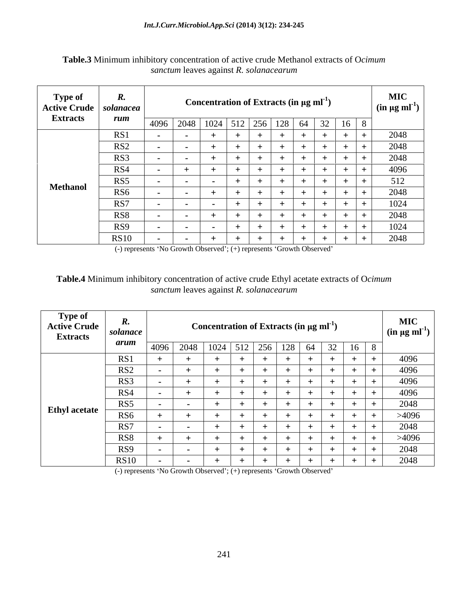| <b>Type of</b><br>Active Crude   solanacea<br><b>Extracts</b> | rum                            | Concentration of Extracts (in $\mu$ g ml <sup>-1</sup> )                            | <b>MIC</b><br>$\left  \right.$ (in µg ml <sup>-1</sup> ) $\left  \right.$ |
|---------------------------------------------------------------|--------------------------------|-------------------------------------------------------------------------------------|---------------------------------------------------------------------------|
|                                                               | RS1                            | 22<br>  4096   2048   1024   512   256   128   64<br>$16 \quad 8$<br>$\frac{52}{1}$ | 2048                                                                      |
|                                                               | RS <sub>2</sub>                | $\sim$                                                                              | 2048                                                                      |
|                                                               | RS3<br>RS4                     | $+$                                                                                 | 2048<br>4096                                                              |
| <b>Methanol</b>                                               | RS5                            | $\sim$                                                                              | 512                                                                       |
|                                                               | RS <sub>6</sub><br>RS7         |                                                                                     | 2048<br>1024                                                              |
|                                                               | RS8                            |                                                                                     | 2048                                                                      |
|                                                               | RS <sub>9</sub><br><b>RS10</b> | $\sim$<br>ᅩ<br>$\sim$                                                               | 1024<br>2048                                                              |

**Table.3** Minimum inhibitory concentration of active crude Methanol extracts of O*cimum sanctum* leaves against *R. solanacearum*

(-) represents 'No Growth Observed'; (+) represents 'Growth Observed'

# **Table.4** Minimum inhibitory concentration of active crude Ethyl acetate extracts of O*cimum sanctum* leaves against *R. solanacearum*

| <b>Type of</b><br><b>Active Crude</b><br><b>Extracts</b> | olanace <sup>.</sup><br>arum |      |                                   |  |  | Concentration of Extracts (in $\mu$ g ml <sup>-1</sup> ) |             | <b>MIC</b><br>$\sin \mu g$ ml <sup>-1</sup> ) |
|----------------------------------------------------------|------------------------------|------|-----------------------------------|--|--|----------------------------------------------------------|-------------|-----------------------------------------------|
|                                                          |                              | 4096 | 2048   1024   512   256   128   6 |  |  | 32<br>64                                                 | $16 \mid 8$ |                                               |
|                                                          | RS1                          |      |                                   |  |  |                                                          |             | 4096                                          |
|                                                          | RS <sub>2</sub>              |      |                                   |  |  |                                                          |             | 4096                                          |
|                                                          | RS3                          |      |                                   |  |  |                                                          |             | 4096                                          |
|                                                          | RS4                          |      |                                   |  |  |                                                          |             | 4096                                          |
|                                                          | RS5                          |      |                                   |  |  |                                                          |             | 2048                                          |
| <b>Ethyl</b> acetate                                     | RS6                          |      |                                   |  |  |                                                          |             | >4096                                         |
|                                                          | RS7                          |      |                                   |  |  |                                                          |             | 2048                                          |
|                                                          | RS <sub>8</sub>              |      |                                   |  |  | - 1                                                      |             | >4096                                         |
|                                                          | RS9                          |      |                                   |  |  |                                                          |             | 2048                                          |
|                                                          | <b>RS10</b>                  |      |                                   |  |  |                                                          |             | 2048                                          |

(-) represents 'No Growth Observed'; (+) represents 'Growth Observed'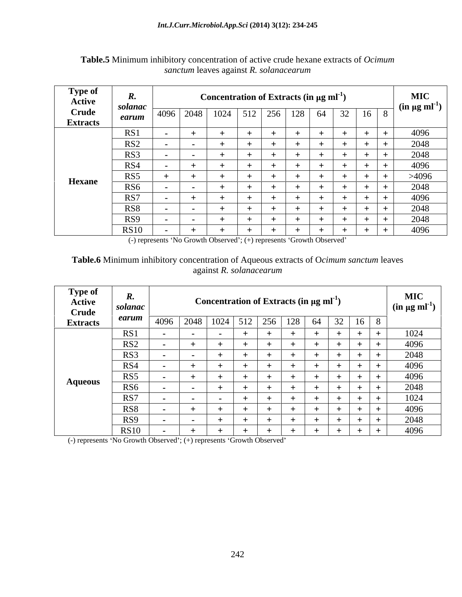| <b>Type of</b><br>Active | и.<br>solanac   |  | Concentration of Extracts (in $\mu$ g ml <sup>-1</sup> ) |     |    |                                |     | <b>MIC</b>                                 |
|--------------------------|-----------------|--|----------------------------------------------------------|-----|----|--------------------------------|-----|--------------------------------------------|
| Crude<br><b>Extracts</b> | earum           |  | $4096$   2048   1024   512   256                         | 128 | 64 | 32<br>$\vert 16 \vert 8 \vert$ |     | $\left( \text{in } \mu \text{g m} \right)$ |
|                          | RS1             |  |                                                          |     |    |                                |     | 4096                                       |
|                          | RS <sub>2</sub> |  |                                                          |     |    |                                |     | 2048                                       |
|                          | RS3             |  |                                                          |     |    |                                | . . | 2048                                       |
|                          | RS4             |  |                                                          |     |    |                                |     | 4096                                       |
| <b>Hexane</b>            | RS5             |  |                                                          |     |    |                                |     | >4096                                      |
|                          | RS6             |  |                                                          |     |    |                                |     | 2048                                       |
|                          | RS7             |  |                                                          |     |    |                                |     | 4096                                       |
|                          | RS8             |  |                                                          |     |    |                                |     | 2048                                       |
|                          | RS9             |  |                                                          |     |    |                                |     | 2048                                       |
|                          | <b>RS10</b>     |  |                                                          |     |    |                                |     | 4096                                       |

**Table.5** Minimum inhibitory concentration of active crude hexane extracts of *Ocimum sanctum* leaves against *R. solanacearum*

(-) represents 'No Growth Observed'; (+) represents 'Growth Observed'

# **Table.6** Minimum inhibitory concentration of Aqueous extracts of O*cimum sanctum* leaves against *R*. *solanacearum* against *R. solanacearum*

| <b>Type of</b><br>Active<br><b>Crude</b> | <br>solanac     |        | Concentration of Extracts (in $\mu$ g ml <sup>-1</sup> ) |  | <b>MIC</b><br>$\int$ (in µg ml <sup>-1</sup> ) |
|------------------------------------------|-----------------|--------|----------------------------------------------------------|--|------------------------------------------------|
| <b>Extracts</b>                          | earun           |        | 4096   2048   1024   512   256   128   64   32   16   8  |  |                                                |
|                                          | RS1<br>1 W 1    |        |                                                          |  | 1024                                           |
|                                          | RS <sub>2</sub> |        |                                                          |  | 4096                                           |
|                                          | RS3             |        |                                                          |  | 2048                                           |
|                                          | RS4             |        |                                                          |  | 4096                                           |
|                                          | RS5             |        |                                                          |  | 4096                                           |
| Aqueous                                  | RS <sub>6</sub> |        |                                                          |  | 2048                                           |
|                                          | RS7             | $\sim$ |                                                          |  | 1024                                           |
|                                          | RS <sub>8</sub> |        |                                                          |  | 4096                                           |
|                                          | RS9             |        |                                                          |  | 2048                                           |
|                                          | <b>RS10</b>     |        |                                                          |  | 4096                                           |

 $(-)$  represents 'No Growth Observed';  $(+)$  represents 'Growth Observed'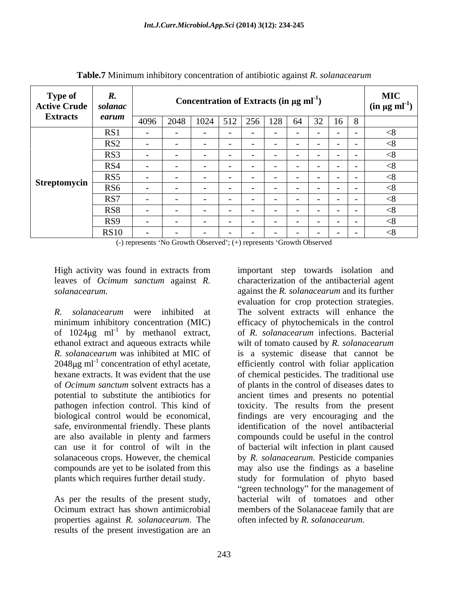| <b>Type of</b><br>Active Crude   solanac | п.              |      |               |               |                                    | Concentration of Extracts (in $\mu$ g ml <sup>-1</sup> ) |                 |             | <b>MIC</b><br>$\int$ (in µg ml <sup>-1</sup> ) |
|------------------------------------------|-----------------|------|---------------|---------------|------------------------------------|----------------------------------------------------------|-----------------|-------------|------------------------------------------------|
| <b>Extracts</b>                          | earum           | 4096 |               | $2048$   1024 | $512 \mid 256$                     | 64                                                       | 32 <sub>1</sub> | $16 \mid 8$ |                                                |
|                                          | RS1             |      |               |               | $\sim$ $\sim$<br>$\sim$            | $\sim$ $  -$                                             | $\sim$ $\sim$   | $\sim$      | $\leq$ $\geq$                                  |
|                                          | RS <sub>2</sub> |      |               |               | $-$                                | $\sim$ $\sim$                                            | $\sim$          |             | $\leq$ $\sim$                                  |
|                                          | RS3             |      |               |               | $\sim$ $\sim$                      | $\sim$ $\sim$                                            | $\sim$          |             | $\leq$ $\times$                                |
|                                          | RS4             |      |               |               | $-$                                | $\sim$                                                   | $\sim$          |             | $\leq$ $\geq$                                  |
|                                          | RS5             |      |               |               |                                    | $\sim$                                                   | $\sim$          |             |                                                |
| Streptomycin                             | RS <sub>6</sub> |      |               |               | $\sim$                             |                                                          | $\sim$          |             |                                                |
|                                          | RS7             |      |               |               | $-$                                | $\sim$ $\sim$                                            | $\sim$          |             | $\leq$ $\geq$                                  |
|                                          | RS8             |      |               |               | $-$                                | $\sim$                                                   | $\sim$          |             | $\leq$ $\geq$                                  |
|                                          | RS9             |      | $\sim$ $\sim$ |               | $\sim$ $\sim$<br>$\sim$            | $\sim$                                                   | $\sim$          |             |                                                |
|                                          | RS10            |      | $\sim$ $\sim$ |               | $\overline{\phantom{a}}$<br>$\sim$ | $\sim$                                                   | $\sim$          |             | $\leq$ $\geq$                                  |

**Table.7** Minimum inhibitory concentration of antibiotic against *R. solanacearum*

 $(-)$  represents 'No Growth Observed';  $(+)$  represents 'Growth Observed'

High activity was found in extracts from

*R. solanacearum* were inhibited at The solvent extracts will enhance the minimum inhibitory concentration (MIC) efficacy of phytochemicals in the control of  $1024\mu\text{g}$  ml<sup>-1</sup> by methanol extract, ethanol extract and aqueous extracts while *R. solanacearum* was inhibited at MIC of is a systemic disease that cannot be  $2048 \mu g$  ml<sup>-1</sup> concentration of ethyl acetate,<br>hexane extracts. It was evident that the use hexane extracts. It was evident that the use of chemical pesticides. The traditional use of *Ocimum sanctum* solvent extracts has a of plants in the control of diseases dates to potential to substitute the antibiotics for ancient times and presents no potential pathogen infection control. This kind of biological control would be economical, findings are very encouraging and the safe, environmental friendly. These plants are also available in plenty and farmers compounds could be useful in the control can use it for control of wilt in the of bacterial wilt infection in plant caused solanaceous crops. However, the chemical by *R. solanacearum*. Pesticide companies compounds are yet to be isolated from this plants which requires further detail study.

As per the results of the present study, properties against *R. solanacearum*. The results of the present investigation are an

leaves of *Ocimum sanctum* against *R*. characterization of the antibacterial agent *solanacearum*. and its further by methanol extract, of *R. solanacearum* infections. Bacterial concentration of ethyl acetate, efficiently control with foliar application Ocimum extract has shown antimicrobial members of the Solanaceae family that are important step towards isolation and characterization of the antibacterial agent against the *R. solanacearum* and its further evaluation for crop protection strategies. wilt of tomato caused by *R. solanacearum* toxicity. The results from the present identification of the novel antibacterial may also use the findings as a baseline study for formulation of phyto based "green technology" for the management of bacterial wilt of tomatoes and other often infected by *R. solanacearum.*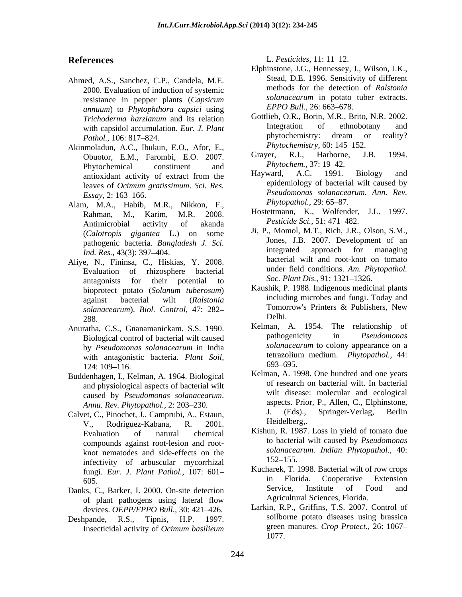- Ahmed, A.S., Sanchez, C.P., Candela, M.E. resistance in pepper plants (*Capsicum solanacearum* in potato<br>annum) to *Phytophthora capsici using EPPO Bull.* 26: 663–678. *annuum*) to *Phytophthora capsici* using
- Akinmoladun, A.C., Ibukun, E.O., Afor, E.,<br>
Chueter, E.M., Ecrombi, E.O., 2007, Graver, R.J., Harborne, J.B. 1994. Obuotor, E.M., Farombi, E.O. 2007. Changer, K.J., Harborne<br>Phytochemical constituent and *Phytochem.*, 37: 19–42. Phytochemical constituent and *Phytochem.*, 31:19–42. leaves of *Ocimum gratissimum*. *Sci. Res.*
- Alam, M.A., Habib, M.R., Nikkon, F., Phytopathol., 29: 65–87. Rahman, M., Karim, M.R. 2008. Hostettmann, K., Wolfender,<br>Antimicrobial activity of akanda *Pesticide Sci.*, 51:471–482. Antimicrobial activity of akanda *Pesticule Sci.*, 51: 4/1–482. (*Calotropis gigantea* L.) on some
- Aliye, N., Fininsa, C., Hiskias, Y. 2008. antagonists for their potential to  $\frac{50c}{2}$ . Plant Dis., 91:1321-1326. bioprotect potato (*Solanum tuberosum*)  $288.$  Delhi.
- Anuratha, C.S., Gnanamanickam. S.S. 1990.<br>Biological control of bacterial wilt caused by the pathogenicity in *Pseudomonas* Biological control of bacterial wilt caused  $124: 109-116.$   $093-095.$
- Buddenhagen, I., Kelman, A. 1964. Biological and physiological aspects of bacterial wilt caused by *Pseudomonas solanacearum*.
- Calvet, C., Pinochet, J., Camprubi, A., Estaun, J. (Eds).,<br>V. Bodriguez Kabana, B. 2001 Heidelberg.. V., Rodriguez-Kabana, R. 2001. compounds against root-lesion and root knot nematodes and side-effects on the solanacea<br>informative of explored methods and the solar 152–155. infectivity of arbuscular mycorrhizal
- of plant pathogens using lateral flow Agricultural Sciences, Florida. devices. OEPP/EPPO Bull., 30: 421-426.
- Deshpande, R.S., Tipnis, H.P. 1997.

**References** L. Pesticides, 11: 11–12. L. *Pesticides,* 11: 11 12.

- 2000. Evaluation of induction of systemic<br>resistance in popper plants (Capaigum solanacearum in potato tuber extracts. Elphinstone, J.G., Hennessey, J., Wilson, J.K., Stead, D.E. 1996. Sensitivity of different methods for the detection of *Ralstonia solanacearum* in potato tuber extracts. *EPPO Bull.,* 26: 663–678.
- *Trichoderma harzianum* and its relation with capsidol accumulation. *Eur. J. Plant* Integration of ethnobotany and phytochemistry: dream or reality? *Pathol.*, 106: 817–824. **phytochemistry:** dream or reality? Gottlieb, O.R., Borin, M.R., Brito, N.R. 2002. Integration of ethnobotany and phytochemistry: dream or reality? *Phytochemistry,* 60: 145–152.
	- Grayer, R.J., Harborne, J.B. 1994. *Phytochem.,* 37: 19–42.
- antioxidant activity of extract from the Hayward, A.C. 1991. Biology and *Essay,* 2: 163 166. Hayward, A.C. 1991. Biology and epidemiology of bacterial wilt caused by *Pseudomonas solanacearum. Ann. Rev. Phytopathol., 29: 65–87.* 
	- Hostettmann, K., Wolfender, J.L. 1997. *Pesticide Sci.,* 51: 471 482.
- pathogenic bacteria. *Bangladesh J. Sci.* Jones, J.B. 2007. Development of an integrated approach for managing *Ind. Res.*, 43(3): 397–404. **Integrated** approach for managing Evaluation of rhizosphere bacterial under tield conditions. Am. Phytopathol. Ji, P., Momol, M.T., Rich, J.R., Olson, S.M., Jones, J.B. 2007. Development of an integrated approach for managing bacterial wilt and root-knot on tomato under field conditions. *Am. Phytopathol. Soc. Plant Dis.*, 91: 1321-1326.
- against bacterial wilt (*Ralstonia*  including microbes and fungi. Today and *solanacearum*). *Biol. Control,* 47: 282–<br> **Solanacearum**). *Biol. Control,* 47: 282–<br> **Delhi**. Kaushik, P. 1988. Indigenous medicinal plants Tomorrow's Printers & Publishers, New Delhi.
- by *Pseudomonas solanacearum* in India with antagonistic bacteria. *Plant Soil*, tetrazolium medium. *Phytopathol.*, 44:<br>124:100.116 Kelman, A. 1954. The relationship of pathogenicity in *Pseudomonas solanacearum* to colony appearance on a tetrazolium medium. *Phytopathol.,* 44: 693 695.
- *Annu. Rev. Phytopathol.,* 2: 203 230. Kelman, A. 1998. One hundred and one years of research on bacterial wilt. In bacterial wilt disease: molecular and ecological aspects. Prior, P., Allen, C., Elphinstone, J. (Eds)., Springer-Verlag, Berlin Heidelberg,.
- Evaluation of natural chemical Kishun, R. 1987. Loss in yield of tomato due to bacterial wilt caused by *Pseudomonas solanacearum. Indian Phytopathol.,* 40: 152–155.
- fungi. *Eur. J. Plant Pathol.,* 107: 601 605. The Florida. Cooperative Extension Danks, C., Barker, I. 2000. On-site detection Service, Institute of Food and Kucharek, T. 1998. Bacterial wilt of row crops in Florida. Cooperative Extension Service, Institute of Food and Agricultural Sciences, Florida.
	- Insecticidal activity of *Ocimum basilieum* Larkin, R.P., Griffins, T.S. 2007. Control of soilborne potato diseases using brassica green manures. *Crop Protect.,* 26: 1067 1077.